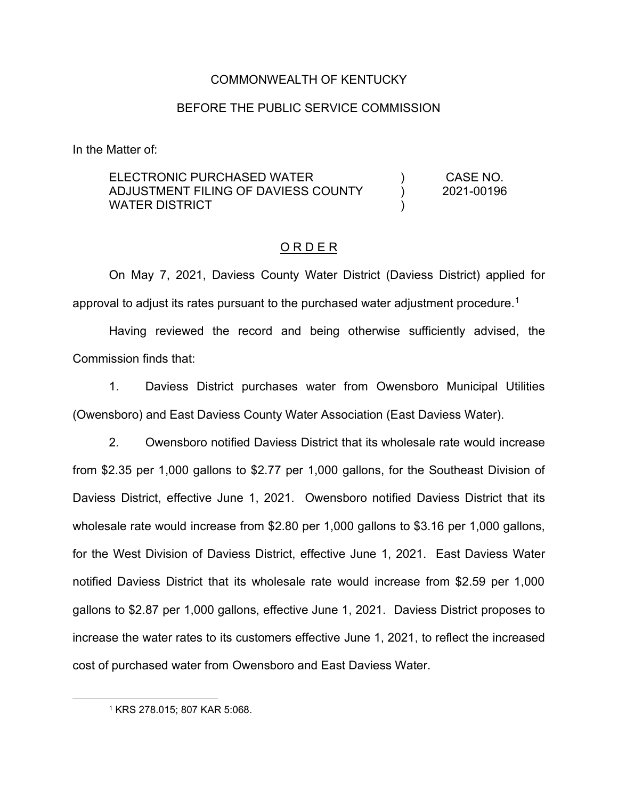## COMMONWEALTH OF KENTUCKY

#### BEFORE THE PUBLIC SERVICE COMMISSION

In the Matter of:

#### ELECTRONIC PURCHASED WATER ADJUSTMENT FILING OF DAVIESS COUNTY WATER DISTRICT ) ) ) CASE NO. 2021-00196

## O R D E R

On May 7, 2021, Daviess County Water District (Daviess District) applied for approval to adjust its rates pursuant to the purchased water adjustment procedure.<sup>1</sup>

Having reviewed the record and being otherwise sufficiently advised, the Commission finds that:

1. Daviess District purchases water from Owensboro Municipal Utilities (Owensboro) and East Daviess County Water Association (East Daviess Water).

2. Owensboro notified Daviess District that its wholesale rate would increase from \$2.35 per 1,000 gallons to \$2.77 per 1,000 gallons, for the Southeast Division of Daviess District, effective June 1, 2021. Owensboro notified Daviess District that its wholesale rate would increase from \$2.80 per 1,000 gallons to \$3.16 per 1,000 gallons, for the West Division of Daviess District, effective June 1, 2021. East Daviess Water notified Daviess District that its wholesale rate would increase from \$2.59 per 1,000 gallons to \$2.87 per 1,000 gallons, effective June 1, 2021. Daviess District proposes to increase the water rates to its customers effective June 1, 2021, to reflect the increased cost of purchased water from Owensboro and East Daviess Water.

<sup>1</sup> KRS 278.015; 807 KAR 5:068.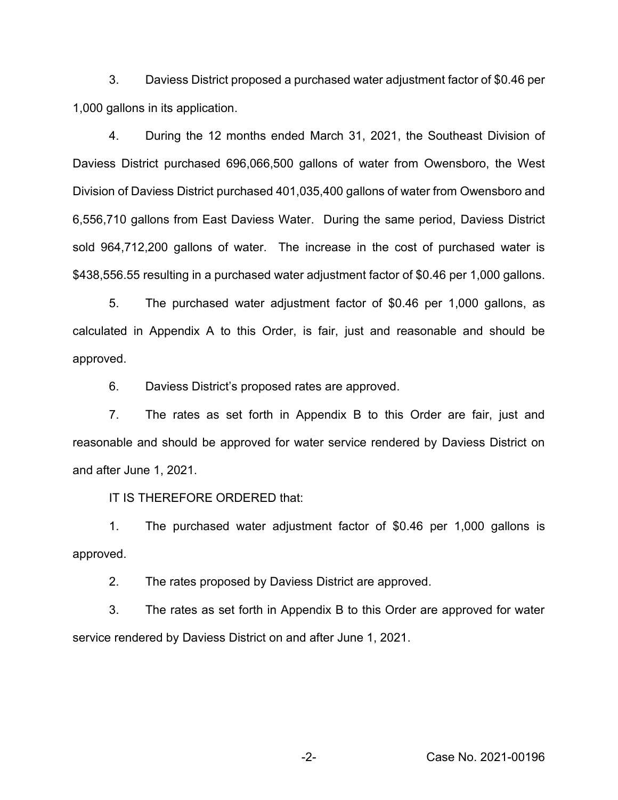3. Daviess District proposed a purchased water adjustment factor of \$0.46 per 1,000 gallons in its application.

4. During the 12 months ended March 31, 2021, the Southeast Division of Daviess District purchased 696,066,500 gallons of water from Owensboro, the West Division of Daviess District purchased 401,035,400 gallons of water from Owensboro and 6,556,710 gallons from East Daviess Water. During the same period, Daviess District sold 964,712,200 gallons of water. The increase in the cost of purchased water is \$438,556.55 resulting in a purchased water adjustment factor of \$0.46 per 1,000 gallons.

5. The purchased water adjustment factor of \$0.46 per 1,000 gallons, as calculated in Appendix A to this Order, is fair, just and reasonable and should be approved.

6. Daviess District's proposed rates are approved.

7. The rates as set forth in Appendix B to this Order are fair, just and reasonable and should be approved for water service rendered by Daviess District on and after June 1, 2021.

IT IS THEREFORE ORDERED that:

1. The purchased water adjustment factor of \$0.46 per 1,000 gallons is approved.

2. The rates proposed by Daviess District are approved.

3. The rates as set forth in Appendix B to this Order are approved for water service rendered by Daviess District on and after June 1, 2021.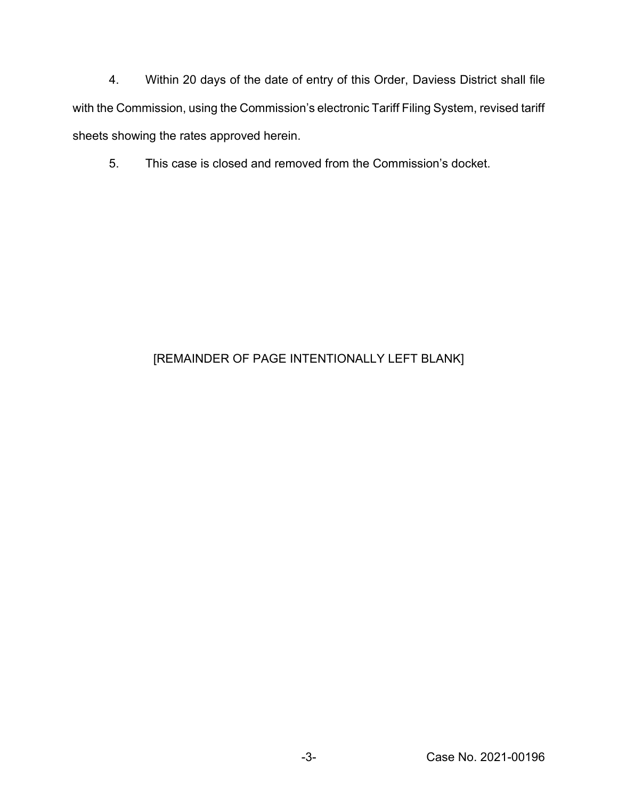4. Within 20 days of the date of entry of this Order, Daviess District shall file with the Commission, using the Commission's electronic Tariff Filing System, revised tariff sheets showing the rates approved herein.

5. This case is closed and removed from the Commission's docket.

# [REMAINDER OF PAGE INTENTIONALLY LEFT BLANK]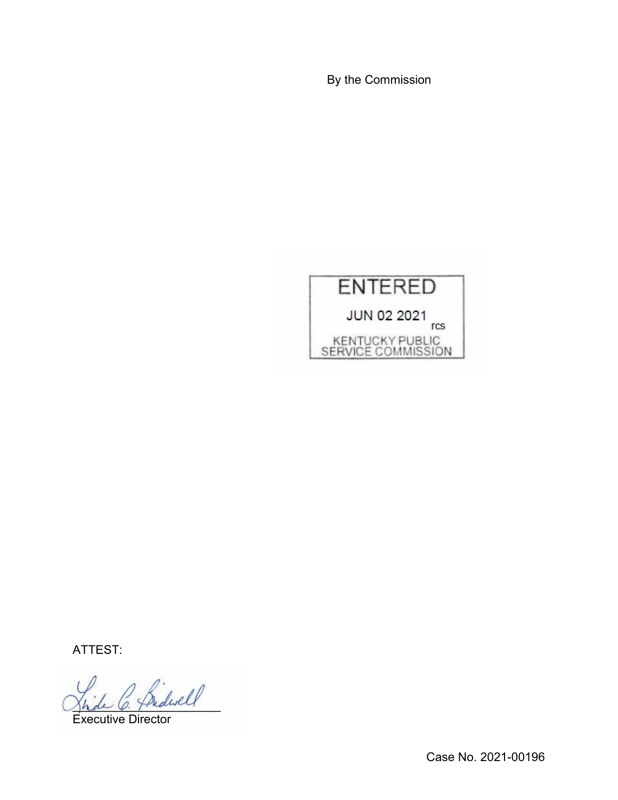By the Commission



ATTEST:

\_\_\_\_\_\_\_\_\_\_\_\_\_\_\_\_\_\_\_\_\_\_

Executive Director

Case No. 2021-00196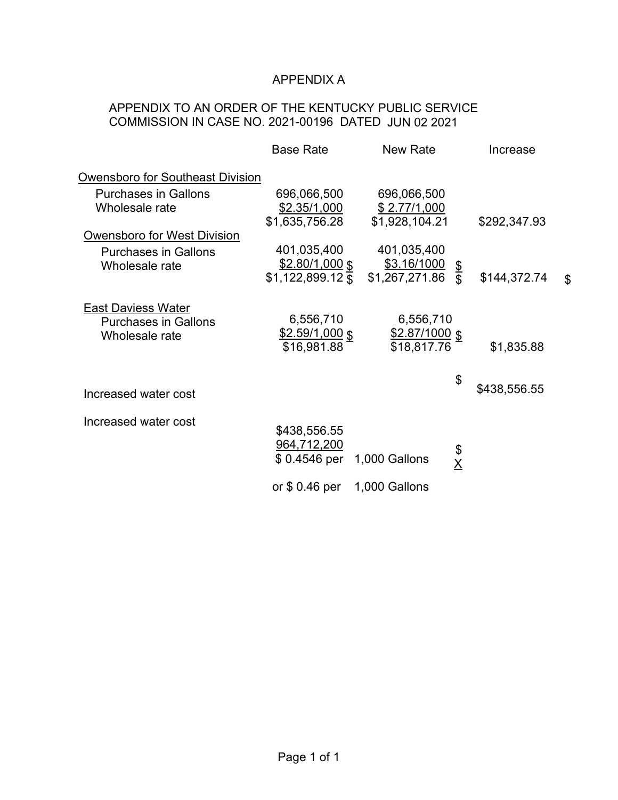## APPENDIX A

## APPENDIX TO AN ORDER OF THE KENTUCKY PUBLIC SERVICE COMMISSION IN CASE NO. 2021-00196 DATED JUN 02 2021

|                                                                            | <b>Base Rate</b>                                           | New Rate                                              | Increase                       |
|----------------------------------------------------------------------------|------------------------------------------------------------|-------------------------------------------------------|--------------------------------|
| <b>Owensboro for Southeast Division</b>                                    |                                                            |                                                       |                                |
| <b>Purchases in Gallons</b>                                                | 696,066,500                                                | 696,066,500                                           |                                |
| Wholesale rate                                                             | <u>\$2.35/1,000</u>                                        | \$2.77/1,000                                          |                                |
|                                                                            | \$1,635,756.28                                             | \$1,928,104.21                                        | \$292,347.93                   |
| Owensboro for West Division                                                |                                                            |                                                       |                                |
| <b>Purchases in Gallons</b>                                                | 401,035,400                                                | 401,035,400                                           |                                |
| Wholesale rate                                                             | $$2.80/1,000$ \$                                           | <u>\$3.16/1000</u><br>$$3.16/1000 \ $$ \$1,267,271.86 |                                |
|                                                                            | $$1,122,899.12$ $\overline{\$}$                            |                                                       | \$144,372.74<br>$\mathfrak{L}$ |
| <b>East Daviess Water</b><br><b>Purchases in Gallons</b><br>Wholesale rate | 6,556,710<br>$$2.59/1,000$ \$<br>\$16,981.88               | 6,556,710<br>$$2.87/1000$ \$<br>\$18,817.76           | \$1,835.88                     |
| Increased water cost                                                       |                                                            |                                                       | \$<br>\$438,556.55             |
| Increased water cost                                                       | \$438,556.55<br>964,712,200<br>\$ 0.4546 per 1,000 Gallons |                                                       | \$<br>X                        |
|                                                                            | or $$0.46$ per                                             | 1,000 Gallons                                         |                                |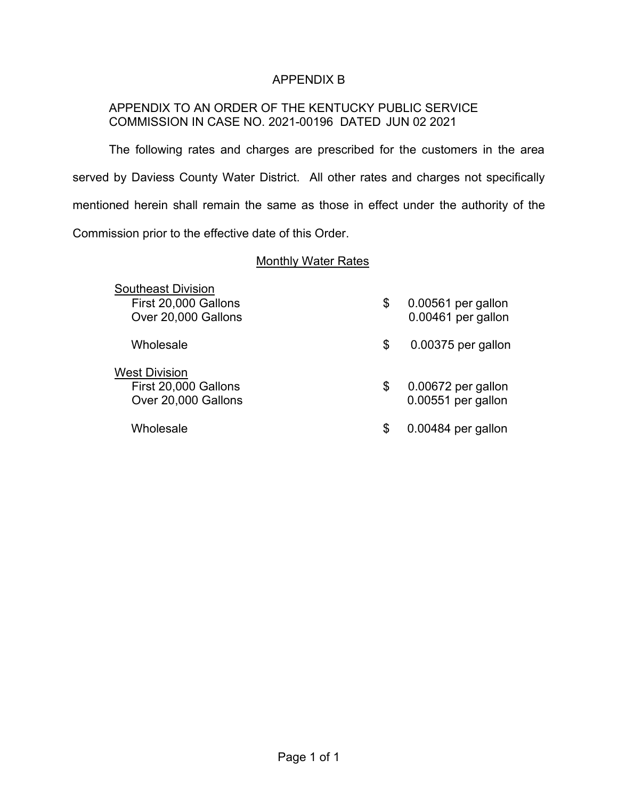## APPENDIX B

## APPENDIX TO AN ORDER OF THE KENTUCKY PUBLIC SERVICE COMMISSION IN CASE NO. 2021-00196 DATED JUN 02 2021

The following rates and charges are prescribed for the customers in the area served by Daviess County Water District. All other rates and charges not specifically mentioned herein shall remain the same as those in effect under the authority of the Commission prior to the effective date of this Order.

## Monthly Water Rates

| <b>Southeast Division</b><br>First 20,000 Gallons<br>Over 20,000 Gallons | \$ | 0.00561 per gallon<br>0.00461 per gallon |
|--------------------------------------------------------------------------|----|------------------------------------------|
| Wholesale                                                                | \$ | 0.00375 per gallon                       |
| <b>West Division</b><br>First 20,000 Gallons<br>Over 20,000 Gallons      | \$ | 0.00672 per gallon<br>0.00551 per gallon |
| Wholesale                                                                | S  | 0.00484 per gallon                       |